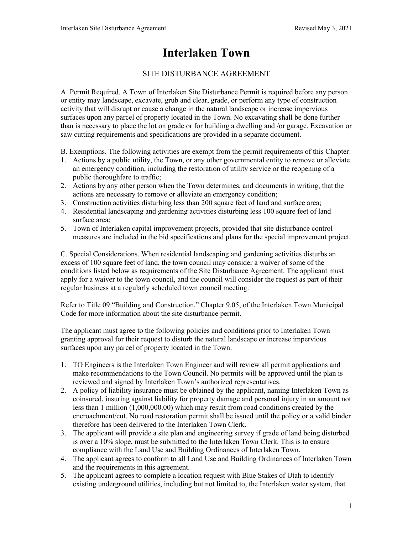# **Interlaken Town**

#### SITE DISTURBANCE AGREEMENT

A. Permit Required. A Town of Interlaken Site Disturbance Permit is required before any person or entity may landscape, excavate, grub and clear, grade, or perform any type of construction activity that will disrupt or cause a change in the natural landscape or increase impervious surfaces upon any parcel of property located in the Town. No excavating shall be done further than is necessary to place the lot on grade or for building a dwelling and /or garage. Excavation or saw cutting requirements and specifications are provided in a separate document.

B. Exemptions. The following activities are exempt from the permit requirements of this Chapter:

- 1. Actions by a public utility, the Town, or any other governmental entity to remove or alleviate an emergency condition, including the restoration of utility service or the reopening of a public thoroughfare to traffic;
- 2. Actions by any other person when the Town determines, and documents in writing, that the actions are necessary to remove or alleviate an emergency condition;
- 3. Construction activities disturbing less than 200 square feet of land and surface area;
- 4. Residential landscaping and gardening activities disturbing less 100 square feet of land surface area;
- 5. Town of Interlaken capital improvement projects, provided that site disturbance control measures are included in the bid specifications and plans for the special improvement project.

C. Special Considerations. When residential landscaping and gardening activities disturbs an excess of 100 square feet of land, the town council may consider a waiver of some of the conditions listed below as requirements of the Site Disturbance Agreement. The applicant must apply for a waiver to the town council, and the council will consider the request as part of their regular business at a regularly scheduled town council meeting.

Refer to Title 09 "Building and Construction," Chapter 9.05, of the Interlaken Town Municipal Code for more information about the site disturbance permit.

The applicant must agree to the following policies and conditions prior to Interlaken Town granting approval for their request to disturb the natural landscape or increase impervious surfaces upon any parcel of property located in the Town.

- 1. TO Engineers is the Interlaken Town Engineer and will review all permit applications and make recommendations to the Town Council. No permits will be approved until the plan is reviewed and signed by Interlaken Town's authorized representatives.
- 2. A policy of liability insurance must be obtained by the applicant, naming Interlaken Town as coinsured, insuring against liability for property damage and personal injury in an amount not less than 1 million (1,000,000.00) which may result from road conditions created by the encroachment/cut. No road restoration permit shall be issued until the policy or a valid binder therefore has been delivered to the Interlaken Town Clerk.
- 3. The applicant will provide a site plan and engineering survey if grade of land being disturbed is over a 10% slope, must be submitted to the Interlaken Town Clerk. This is to ensure compliance with the Land Use and Building Ordinances of Interlaken Town.
- 4. The applicant agrees to conform to all Land Use and Building Ordinances of Interlaken Town and the requirements in this agreement.
- 5. The applicant agrees to complete a location request with Blue Stakes of Utah to identify existing underground utilities, including but not limited to, the Interlaken water system, that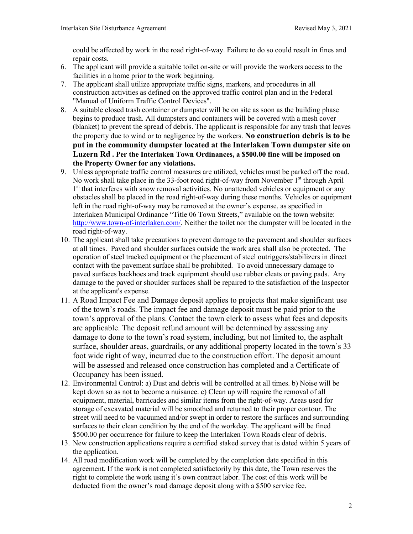could be affected by work in the road right-of-way. Failure to do so could result in fines and repair costs.

- 6. The applicant will provide a suitable toilet on-site or will provide the workers access to the facilities in a home prior to the work beginning.
- 7. The applicant shall utilize appropriate traffic signs, markers, and procedures in all construction activities as defined on the approved traffic control plan and in the Federal "Manual of Uniform Traffic Control Devices".
- 8. A suitable closed trash container or dumpster will be on site as soon as the building phase begins to produce trash. All dumpsters and containers will be covered with a mesh cover (blanket) to prevent the spread of debris. The applicant is responsible for any trash that leaves the property due to wind or to negligence by the workers. **No construction debris is to be put in the community dumpster located at the Interlaken Town dumpster site on Luzern Rd . Per the Interlaken Town Ordinances, a \$500.00 fine will be imposed on the Property Owner for any violations.**
- 9. Unless appropriate traffic control measures are utilized, vehicles must be parked off the road. No work shall take place in the 33-foot road right-of-way from November  $1<sup>st</sup>$  through April <sup>1st</sup> that interferes with snow removal activities. No unattended vehicles or equipment or any obstacles shall be placed in the road right-of-way during these months. Vehicles or equipment left in the road right-of-way may be removed at the owner's expense, as specified in Interlaken Municipal Ordinance "Title 06 Town Streets," available on the town website: http://www.town-of-interlaken.com/. Neither the toilet nor the dumpster will be located in the road right-of-way.
- 10. The applicant shall take precautions to prevent damage to the pavement and shoulder surfaces at all times. Paved and shoulder surfaces outside the work area shall also be protected. The operation of steel tracked equipment or the placement of steel outriggers/stabilizers in direct contact with the pavement surface shall be prohibited. To avoid unnecessary damage to paved surfaces backhoes and track equipment should use rubber cleats or paving pads. Any damage to the paved or shoulder surfaces shall be repaired to the satisfaction of the Inspector at the applicant's expense.
- 11. A Road Impact Fee and Damage deposit applies to projects that make significant use of the town's roads. The impact fee and damage deposit must be paid prior to the town's approval of the plans. Contact the town clerk to assess what fees and deposits are applicable. The deposit refund amount will be determined by assessing any damage to done to the town's road system, including, but not limited to, the asphalt surface, shoulder areas, guardrails, or any additional property located in the town's 33 foot wide right of way, incurred due to the construction effort. The deposit amount will be assessed and released once construction has completed and a Certificate of Occupancy has been issued.
- 12. Environmental Control: a) Dust and debris will be controlled at all times. b) Noise will be kept down so as not to become a nuisance. c) Clean up will require the removal of all equipment, material, barricades and similar items from the right-of-way. Areas used for storage of excavated material will be smoothed and returned to their proper contour. The street will need to be vacuumed and/or swept in order to restore the surfaces and surrounding surfaces to their clean condition by the end of the workday. The applicant will be fined \$500.00 per occurrence for failure to keep the Interlaken Town Roads clear of debris.
- 13. New construction applications require a certified staked survey that is dated within 5 years of the application.
- 14. All road modification work will be completed by the completion date specified in this agreement. If the work is not completed satisfactorily by this date, the Town reserves the right to complete the work using it's own contract labor. The cost of this work will be deducted from the owner's road damage deposit along with a \$500 service fee.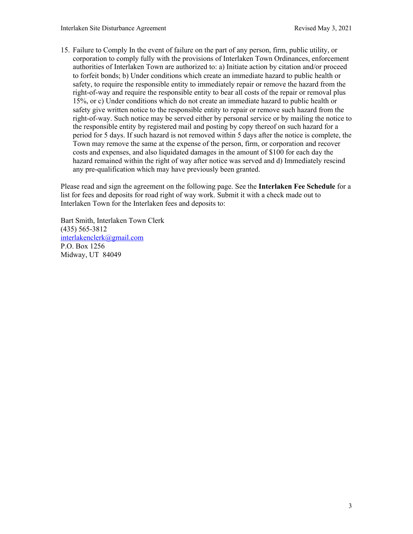15. Failure to Comply In the event of failure on the part of any person, firm, public utility, or corporation to comply fully with the provisions of Interlaken Town Ordinances, enforcement authorities of Interlaken Town are authorized to: a) Initiate action by citation and/or proceed to forfeit bonds; b) Under conditions which create an immediate hazard to public health or safety, to require the responsible entity to immediately repair or remove the hazard from the right-of-way and require the responsible entity to bear all costs of the repair or removal plus 15%, or c) Under conditions which do not create an immediate hazard to public health or safety give written notice to the responsible entity to repair or remove such hazard from the right-of-way. Such notice may be served either by personal service or by mailing the notice to the responsible entity by registered mail and posting by copy thereof on such hazard for a period for 5 days. If such hazard is not removed within 5 days after the notice is complete, the Town may remove the same at the expense of the person, firm, or corporation and recover costs and expenses, and also liquidated damages in the amount of \$100 for each day the hazard remained within the right of way after notice was served and d) Immediately rescind any pre-qualification which may have previously been granted.

Please read and sign the agreement on the following page. See the **Interlaken Fee Schedule** for a list for fees and deposits for road right of way work. Submit it with a check made out to Interlaken Town for the Interlaken fees and deposits to:

Bart Smith, Interlaken Town Clerk (435) 565-3812 interlakenclerk@gmail.com P.O. Box 1256 Midway, UT 84049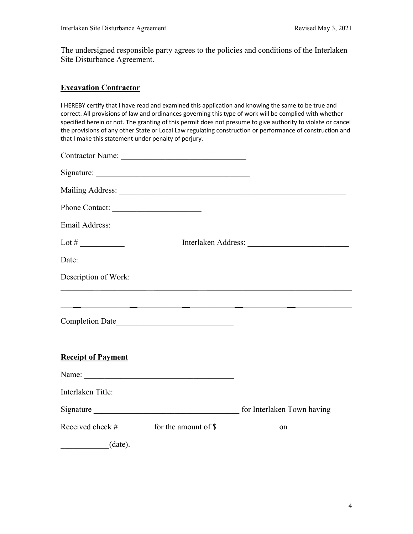The undersigned responsible party agrees to the policies and conditions of the Interlaken Site Disturbance Agreement.

### **Excavation Contractor**

I HEREBY certify that I have read and examined this application and knowing the same to be true and correct. All provisions of law and ordinances governing this type of work will be complied with whether specified herein or not. The granting of this permit does not presume to give authority to violate or cancel the provisions of any other State or Local Law regulating construction or performance of construction and that I make this statement under penalty of perjury.

| Phone Contact:                                               |                                                                                      |                            |
|--------------------------------------------------------------|--------------------------------------------------------------------------------------|----------------------------|
|                                                              |                                                                                      |                            |
| Lot # $\qquad$                                               |                                                                                      |                            |
| Date: $\qquad \qquad$                                        |                                                                                      |                            |
| Description of Work:                                         |                                                                                      |                            |
|                                                              |                                                                                      |                            |
|                                                              | Completion Date                                                                      |                            |
| <b>Receipt of Payment</b>                                    |                                                                                      |                            |
|                                                              |                                                                                      |                            |
|                                                              | Interlaken Title:                                                                    |                            |
|                                                              | Signature                                                                            | for Interlaken Town having |
|                                                              | Received check $#$ _________ for the amount of $\frac{1}{2}$ ____________________ on |                            |
| $\frac{1}{\sqrt{1-\frac{1}{2}}}\left(\frac{1}{2}\right)^{n}$ |                                                                                      |                            |